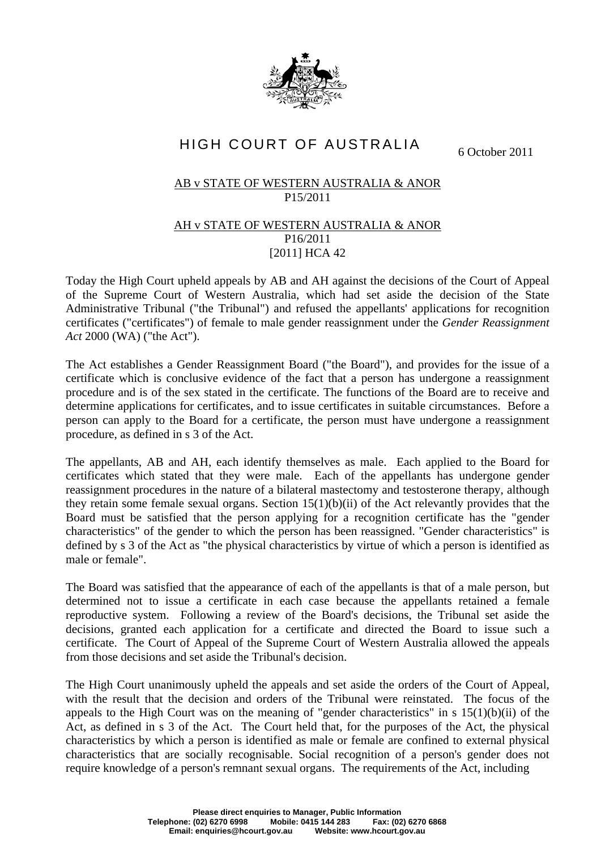

## HIGH COURT OF AUSTRALIA

6 October 2011

## AB v STATE OF WESTERN AUSTRALIA & ANOR P15/2011

## AH v STATE OF WESTERN AUSTRALIA & ANOR P16/2011 [2011] HCA 42

Today the High Court upheld appeals by AB and AH against the decisions of the Court of Appeal of the Supreme Court of Western Australia, which had set aside the decision of the State Administrative Tribunal ("the Tribunal") and refused the appellants' applications for recognition certificates ("certificates") of female to male gender reassignment under the *Gender Reassignment Act* 2000 (WA) ("the Act").

The Act establishes a Gender Reassignment Board ("the Board"), and provides for the issue of a certificate which is conclusive evidence of the fact that a person has undergone a reassignment procedure and is of the sex stated in the certificate. The functions of the Board are to receive and determine applications for certificates, and to issue certificates in suitable circumstances. Before a person can apply to the Board for a certificate, the person must have undergone a reassignment procedure, as defined in s 3 of the Act.

The appellants, AB and AH, each identify themselves as male. Each applied to the Board for certificates which stated that they were male. Each of the appellants has undergone gender reassignment procedures in the nature of a bilateral mastectomy and testosterone therapy, although they retain some female sexual organs. Section  $15(1)(b)(ii)$  of the Act relevantly provides that the Board must be satisfied that the person applying for a recognition certificate has the "gender characteristics" of the gender to which the person has been reassigned. "Gender characteristics" is defined by s 3 of the Act as "the physical characteristics by virtue of which a person is identified as male or female".

The Board was satisfied that the appearance of each of the appellants is that of a male person, but determined not to issue a certificate in each case because the appellants retained a female reproductive system. Following a review of the Board's decisions, the Tribunal set aside the decisions, granted each application for a certificate and directed the Board to issue such a certificate. The Court of Appeal of the Supreme Court of Western Australia allowed the appeals from those decisions and set aside the Tribunal's decision.

The High Court unanimously upheld the appeals and set aside the orders of the Court of Appeal, with the result that the decision and orders of the Tribunal were reinstated. The focus of the appeals to the High Court was on the meaning of "gender characteristics" in s 15(1)(b)(ii) of the Act, as defined in s 3 of the Act. The Court held that, for the purposes of the Act, the physical characteristics by which a person is identified as male or female are confined to external physical characteristics that are socially recognisable. Social recognition of a person's gender does not require knowledge of a person's remnant sexual organs. The requirements of the Act, including